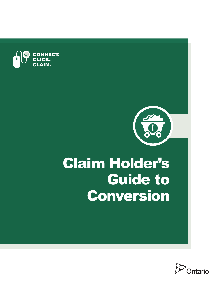

# Claim Holder's Guide to Conversion

!<br>!

 $\bullet$ 

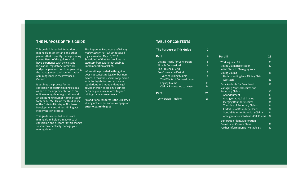## **The PurPose of This Guide**

This guide is intended for holders of mining claims in Ontario and other persons that currently manage mining royal assent on May 10, 2017. claims. Users of this guide should have experience with the existing legislation, regulatory framework, and principles and practices governing the management and administration of mining lands in the Province of Ontario.

It outlines the process for the conversion of existing mining claims as part of the implementation of an online mining claim registration and an online Mining Lands Administration System (MLAS). This is the third phase of the Ontario Ministry of Northern Development and Mines' Mining Act Modernization process.

This guide is intended to educate mining claim holders in advance of conversion and prepare for this change so you can effectively manage your mining claims.

*The Aggregate Resources and Mining Modernization Act (Bill 39)* received Schedule 2 of that Act provides the statutory framework that enables implementation of MLAS.

Information provided in this guide does not constitute legal or business advice. It must be used in conjunction with the legislation and associated regulations and independent legal advice thereon to aid any business decision you make related to your mining claim arrangements.

An additional resource is the Ministry's Mining Act Modernization webpage at: **[ontario.ca/miningact](https://www.ontario.ca/miningact)** 

## **TABLe of CoNTeNTs**

| The Purpose of This Guide           |    |
|-------------------------------------|----|
| <b>Part I</b>                       | 4  |
| <b>Getting Ready for Conversion</b> | 5  |
| <b>What is Conversion?</b>          | 6  |
| <b>The Provincial Grid</b>          | 7  |
| <b>Pre-Conversion Period</b>        | 8  |
| <b>Types of Mining Claims</b>       | 8  |
| The Effects of Conversion on        |    |
| <b>Legacy Claims</b>                | 11 |
| <b>Claims Proceeding to Lease</b>   | 24 |
| <b>Part II</b>                      | 25 |
| <b>Conversion Timeline</b>          | 26 |

| Part III                                   | 29 |
|--------------------------------------------|----|
| <b>Working in MLAS</b>                     | 30 |
| Mining Claim Registration                  | 30 |
| <b>Initial Steps to Managing Your</b>      |    |
| <b>Mining Claims</b>                       | 31 |
| <b>Understanding New Mining Claim</b>      |    |
| <b>Abstracts</b>                           | 31 |
| Data Available for Download                | 31 |
| Managing Your Cell Claims and              |    |
| <b>Boundary Claims</b>                     | 32 |
| Abandonment                                | 33 |
| <b>Amalgamating Cell Claims</b>            | 33 |
| <b>Merging Boundary Claims</b>             | 34 |
| <b>Transfers of Boundary Claims</b>        | 34 |
| Forfeiture of Boundary Claims              | 34 |
| <b>Special Rules for Boundary Claims</b>   | 34 |
| <b>Amalgamation into Multi-Cell Claims</b> | 37 |
| <b>Exploration Plans, Exploration</b>      |    |
| <b>Permits and Closure Plans</b>           | 39 |
| <b>Further Information Is Available By</b> | 39 |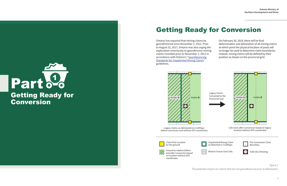# <span id="page-2-0"></span>Part <sup>0</sup> Getting Ready for **Conversion**

# Getting Ready for Conversion

Ontario has required that mining claims be georeferenced since November 1, 2012. Prior to August 31, 2017, Ontario was also urging the exploration community to georeference mining claims recorded prior to November 1, 2012 in accordance with Ontario's ["Georeferencing](https://www.mndm.gov.on.ca/sites/default/files/georeferencing_standards.pdf)  [Standards for Unpatented Mining Claims"](https://www.mndm.gov.on.ca/sites/default/files/georeferencing_standards.pdf) guidelines.

On February 26, 2018, there will be final determination and delineation of all mining claims at which point the physical location of posts will no longer be used to determine claim boundaries. Instead, mining claims will be defined by their position as shown on the provincial grid.

Claim Post Location on the ground

Legacy claims as delineated on CLAIMaps before Conversion and without GPS coordinates







on location without GPS coordinates

*figure 1. The potential impact on claims that are not georeferenced prior to delineation.*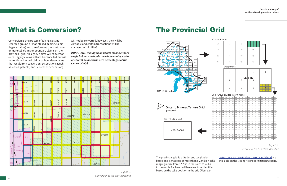

## <span id="page-3-0"></span>What is Conversion?

Conversion is the process of taking existing recorded ground or map staked mining claims (legacy claims) and transforming them into one or more cell claims or boundary claims on the provincial grid. All legacy claims will convert at once. Legacy claims will not be cancelled but will be continued as cell claims or boundary claims that result from conversion. Dispositions (such as leases, patents, and licences of occupation)

will not be converted, however, they will be viewable and certain transactions will be managed within MLAS.

**IMPORTANT: mining claim holder means either a single holder who holds the whole mining claim or several holders who own percentages of the same claim(s)** 

**The Provincial Grid** 





*Figure 2. Conversion to the provincial grid* 

#### NTS 1:50K Index

| Cell = 1 Claim Unit |  |
|---------------------|--|
| 42B16A001           |  |



|            | 13                                  |            |            |             | 14         |            |            |            | 15                             |            |            | 16         |            |            |            |            |            |            |            |
|------------|-------------------------------------|------------|------------|-------------|------------|------------|------------|------------|--------------------------------|------------|------------|------------|------------|------------|------------|------------|------------|------------|------------|
|            | 12                                  |            |            |             | 11         |            |            |            | 10                             |            |            | 09         |            |            |            |            |            |            |            |
| 05<br>06   |                                     |            |            |             | 07         |            |            | 08         |                                |            |            |            |            |            |            |            |            |            |            |
|            | 04                                  |            | 03         |             |            |            |            | 02         |                                |            | 01         |            |            |            |            |            |            |            |            |
|            |                                     |            |            | Group Index |            |            |            |            |                                |            |            |            |            |            |            |            |            |            |            |
|            |                                     |            |            |             | L          |            |            |            | Κ                              |            |            | J          |            |            |            | I          |            |            |            |
|            |                                     |            |            |             | E          |            |            |            | $_{F}$ 042 $A$ 16 <sub>G</sub> |            |            |            |            |            |            | Н          |            |            |            |
|            |                                     |            |            |             | D          |            |            |            | C                              |            |            | B          |            |            |            | A          |            |            |            |
|            | Grid - Group divided into 400 cells |            |            |             |            |            |            |            |                                |            |            |            |            |            |            |            |            |            |            |
| 001        | 002                                 | 003        | 004        | 005         | 006        | 007        | 008        | 009        |                                |            |            |            |            |            |            |            |            |            |            |
| 021        | 022                                 |            |            |             |            |            |            |            | 010                            | 011        | 012        | 013        | 014        | 015        | 016        | 017        | 018        | 019        | 020        |
| 041        |                                     | 023        | 024        | 025         | 026        | 027        | 028        | 029        | 030                            | 031        | 032        | 033        | 034        | 035        | 036        | 037        | 038        | 039        | 040        |
|            | 042                                 | 043        | 044        | 045         | 046        | 047        | 048        | 049        | 050                            | 051        | 052        | 053        | 054        | 055        | 056        | 057        | 058        | 059        | 060        |
| 061        | 062                                 | 063        | 064        | 065         | 066        | 067        | 068        | 069        | 070                            | 071        | 072        | 073        | 074        | 075        | 076        | 077        | 078        | 079        | 080        |
| 081        | 082                                 | 083        | 084        | 085         | 086        | 087        | 088        | 089        | 090                            | 091        | 092        | 093        | 094        | 095        | 096        | 097        | 098        | 099        | 100        |
| 101        | 102                                 | 103        | 104        | 105         | 106        | 107        | 108        | 109        | 110                            | 111        | 112        | 113        | 114        | 115        | 116        | 117        | 118        | 119        | 120        |
| 121        | 122                                 | 123        | 124        | 125         | 126        | 127        | 128        | 129        | 130                            | 131        | 132        | 133        | 134        | 135        | 136        | 137        | 138        | 139        | 140        |
| 141        | 142                                 | 143        | 144        | 145         | 146        | 147        | 148        | 149        | 150                            | 151        | 152        | 153        | 154        | 155        | 156        | 157        | 158        | 159        | 160        |
| 161        | 162                                 | 163        | 164        | 165         | 166        | 167        | 168        | 169        | 170                            | 171        | 172        | 173        | 174        | 175        | 176        | 177        | 178        | 179        | 180        |
| 181        | 182                                 | 183        | 184        | 185         | 186        | 187        | 188        | 189        | 190                            | 191        | 192        | 193        | 194        | 195        | 196        | 197        | 198        | 199        | 200        |
| 201        | 202                                 | 203        | 204        | 205         | 206        | 207        | 208        | 209        | 210                            | 211        | 212        | 213        | 214        | 215        | 216        | 217        | 218        | 219        | 220        |
| 221<br>241 | 222<br>242                          | 223<br>243 | 224<br>244 | 225<br>245  | 226<br>246 | 227<br>247 | 228<br>248 | 229<br>249 | 230<br>250                     | 231<br>251 | 232<br>252 | 233<br>253 | 234<br>254 | 235<br>255 | 236<br>256 | 237<br>257 | 238<br>258 | 239<br>259 | 240<br>260 |
| 261        | 262                                 | 263        | 264        | 265         | 266        | 267        | 268        | 269        | 270                            | 271        | 272        | 273        | 274        | 275        | 276        | 277        | 278        | 279        | 280        |
| 281        | 282                                 | 283        | 284        | 285         | 286        | 287        | 288        | 289        | 290                            | 291        | 292        | 293        | 294        | 295        | 296        | 297        | 298        | 299        | 300        |
| 301        | 302                                 | 303        | 304        | 305         | 306        | 307        | 308        | 309        | 310                            | 311        | 312        | 313        | 314        | 315        | 316        | 317        | 318        | 319        | 320        |
| 321        | 322                                 | 323        | 324        | 325         | 326        | 327        | 328        | 329        | 330                            | 331        | 332        | 333        | 334        | 335        | 336        | 337        | 338        | 339        | 340        |
| 341        | 342                                 | 343        | 344        | 345         | 346        | 347        | 348        | 349        | 350                            | 351        | 352        | 353        | 354        | 355        | 356        | 357        | 358        | 359        | 360        |
| 361        | 362                                 | 363        | 364        | 365         | 366        | 367        | 368        | 369        | 370                            | 371        | 372        | 373        | 374        | 375        | 376        | 377        | 378        | 379        | 380        |

*Figure 3. Provincial Grid and Cell Identifier* 

The provincial grid is latitude- and longitudebased and is made up of more than 5.2 million cells ranging in size from 17.7 ha in the north to 24 ha in the south. Each cell will have a unique identifier based on the cell's position in the grid (Figure 2).

[Instructions on how to view the provincial grid](https://www.mndm.gov.on.ca/en/mines-and-minerals/mining-act/modernizing-mining-act#simple-table-of-contents-8) are available on the Mining Act Modernization website.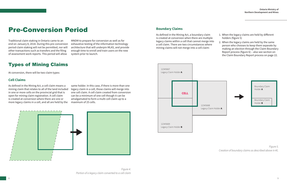## <span id="page-4-0"></span>Pre-Conversion Period

Traditional claim staking in Ontario came to an end on January 8, 2018. During this pre-conversion period claim staking will not be permitted, nor will other transactions such as transfers and the filing of assessment work reports. This period will allow

MNDM to prepare for conversion as well as for exhaustive testing of the information technology architecture that will underpin MLAS, and provide enough time to enroll and train users on the new system prior to launch.

## **Types of Mining Claims**

At conversion, there will be two claim types:

## **Cell Claims**

As defined in the Mining Act, a cell claim means a mining claim that relates to all of the land included in one or more cells on the provincial grid that is open for mining claim registration. A cell claim is created at conversion where there are one or more legacy claims in a cell, and all are held by the

same holder. In this case, if there is more than one legacy claim in a cell, those claims will merge into one cell claim. A cell claim created from conversion can be a minimum of one cell though it can be amalgamated to form a multi-cell claim up to a maximum of 25 cells.



*Figure 4. Portion of a legacy claim converted to a cell claim* 

## **Boundary Claims**

As defined in the Mining Act, a boundary claim is created at conversion when there are multiple legacy claims within a cell that cannot merge into a cell claim. There are two circumstances where mining claims will not merge into a cell claim:

- 1. When the legacy claims are held by different holders (figure 5)
- 2. When the legacy claims are held by the same person who chooses to keep them separate by making an election through the Claim Boundary Report process (figure 6) – also see section on the Claim Boundary Report process on page 22.



*Figure 5. Creation of boundary claims as described above in #1.*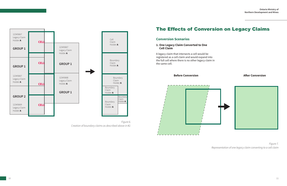<span id="page-5-0"></span>

*Figure 6. Creation of boundary claims as described above in #2.* 

## **The Effects of Conversion on Legacy Claims**

## **Conversion scenarios**

## **1. one Legacy Claim Converted to one Cell Claim**

A legacy claim that intersects a cell would be registered as a cell claim and would expand into the full cell where there is no other legacy claim in the same cell.

**Before Conversion After Conversion** 



*Figure 7. Representation of one legacy claim converting to a cell claim*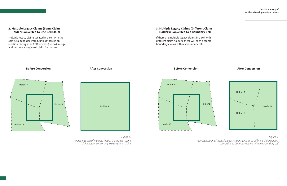## **2. Multiple Legacy Claims (same Claim holder) Converted to one Cell Claim**

Multiple legacy claims located in a cell with the same claim holder would, unless there is an election through the CBR process (below), merge and become a single cell claim for that cell.





**Before Conversion After Conversion** 

## *Figure 8. Representation of multiple legacy claims with same claim holder converting to a single cell claim*



boundary claims within a boundary cell.

*Figure 9.* 

*Representation of multiple legacy claims with three different claim holders converting to boundary claims within a boundary cell*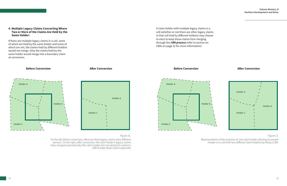## **Before Conversion After Conversion**

#### **4. Multiple Legacy Claims Converting Where Two or More of the Claims Are Held by the Same Holder:**

If there are multiple legacy claims in a cell, some of which are held by the same holder and some of which are not, the claims held by different holders would not merge. Only the claims held by the same holder would merge into a boundary claim at conversion.





#### *Figure 10.*

*On the left, before conversion, there are three legacy claims (two different owners). On the right, after conversion, the claim holder's legacy claims have merged automatically (the claim holder has not elected to submit a CBR to keep those claims separate)* 

A claim holder with multiple legacy claims in a cell (whether or not there are other legacy claims in that cell held by different holders) may choose to elect to keep those claims from merging through the **CBR process** (refer to section on CBRs on page 22 for more information).

## **Before Conversion** <br>**Before Conversion**



*Figure 11.* 

*Representation of the outcome of one claim holder electing to prevent merger (in a cell with two different claim holders) by filing a CBR.*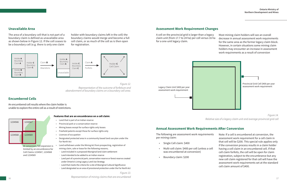## **unavailable Area**

The area of a boundary cell that is not part of a boundary claim is defined as unavailable area as shown below in Figure 12. If the cell ceases to be a boundary cell (e.g. there is only one claim

holder with boundary claims left in the cell) the boundary claims would merge and become a full cell claim, or as much of the cell as is then open for registration.



*Figure 12. Representation of the outcome of forfeiture and abandonment of boundary claims on a boundary cell area.* 

## **encumbered Cells**

An encumbered cell results where the claim holder is unable to explore the entire cell as a result of restrictions.



- Land that is part of an Indian reserve
- Provincial park or a conservation reserve
- Mining leases except for surface rights only leases
- Freehold patents except those for surface rights only
- Licences of occupation
- Designated protected area in a community based land use plan under the Far North Act
- Land withdrawn under the Mining Act from prospecting, registration of mining claim, sale or lease for the following reasons;
	- ∙ Land included in a proposed Aboriginal land claim settlement
	- ∙ Land intended to be added to an Indian reserve
	- ∙ Land part of a provincial park, conservation reserve or forest reserve created under Ontario's Living Legacy Land Use Strategy
	- ∙ Land that meets the criteria for a site of Aboriginal Cultural Significance
	- ∙ Land designated as an area of provisional protection under the Far North Act

*Figure 13. Representation of mining claims that are encumbered*  16 and the contractor of mining claims and are encampered.

## **Assessment Work Requirement Changes**

At conversion, full expansion is limited by an encumbrance for Cell Claims 1234567, 1234568 and 1234569

#### **features that are an encumbrance on a cell claim:**

A cell on the provincial grid is larger than a legacy claim unit (from 17.7 to 24 ha) per cell versus 16 ha for a one-unit legacy claim.

Most mining claim holders will see an overall decrease in annual assessment work requirements for the same area as the former legacy claim block. However, in certain situations some mining claim holders may encounter an increase in assessment work requirements as a result of conversion





*Figure 14. Relative size of a legacy claim unit and average provincial grid cell* 

## **Annual Assessment Work requirements After Conversion**

per mining claim: 

- 
- The following are assessment work requirements • Single Cell claim: \$400 • Multi-cell claim: \$400 per cell (unless a cell was encumbered at conversion) • Boundary claim: \$200 Note: If a cell is encumbered at conversion, the assessment work requirement for a cell claim in that cell will be \$200. This special rule applies only if the conversion process results in a claim holder having a cell claim in an encumbered cell. If that cell claim forfeits, the cell will be open for claim registration, subject to the encumbrance but any new cell claim registered for that cell will have the assessment work requirements set at the standard cell claim amount of \$400.
	-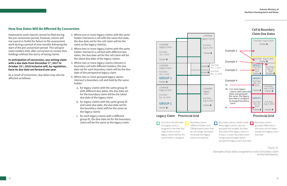#### **Ontario Ministry of Northern Development and Mines**

## **How Due Dates Will Be Affected By Conversion**

Assessment work reports cannot be filed during the pre-conversion period, however, claims will not cancel or forfeit for failure to file assessment work during a period of nine months following the start of the pre-conversion period. This will give claim holders time after conversion to review their holdings without the worry of losing claims.

#### **in anticipation of conversion, any mining claim with a due date from december 1st, 2017 to october 31 st, 2018 inclusive will, by regulation, have its due date set forward one year.**

As a result of conversion, due dates may also be affected as follows:

- 1. Where one or more legacy claims with the same holder intersects a cell with the same due date, the due date set for the cell claim will be the same as the legacy claim(s).
- 2. Where two or more legacy claims with the same holder intersects a cell but with different due dates, the due date set for the cell claim will be the latest due date of the legacy claims.
- 3. Where two or more legacy claims intersect a boundary cell with different holders, the due date set for each boundary claim will be the due date of the perspective legacy claim.
- 4. Where two or more grouped legacy claims intersect a boundary cell and held by the same holder:
	- a. for legacy claims with the same group ID with different due dates, the due date set for the boundary claim will be the latest due date of the legacy claim
	- b. for legacy claims with the same group ID and same due date, the due date set for the boundary claim with be the same as the legacy claims
	- c. for each legacy claims with a different group ID, the due date set for the boundary claim will be the same as the legacy claim.

## **Legacy Claim Provincial Grid**



*Figure 15. Examples of due dates assigned to a cell or boundary claim at final delineation.*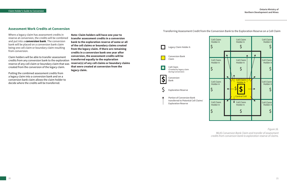## **Assessment Work Credits at Conversion**

Where a legacy claim has assessment credits in reserve at conversion, the credits will be combined and put into a **conversion bank**. The conversion bank will be placed on a conversion bank claim being one cell claim or boundary claim resulting from conversion.

Claim holders will be able to transfer assessment credits from any conversion bank to the exploration reserve of any cell claim or boundary claim that was created from the conversion of the legacy claim.

Putting the combined assessment credits from a legacy claim into a conversion bank and on a conversion bank claim allows the claim holder to decide where the credits will be transferred.

**Note: Claim holders will have one year to transfer assessment credits in a conversion bank to the exploration reserve of some or all of the cell claims or boundary claims created from the legacy claim. if there are remaining credits in a conversion bank one year after conversion, the assessment credits will be transferred equally to the exploration reserve(s) of any cell claims or boundary claims that were created at conversion from the legacy claim.** 

Transferring Assessment Credit from the Conversion Bank to the Exploration Reserve on a Cell Claim



*Figure 16.* 

*MLAS Conversion Bank* Claim and transfer of assessment credits from conversion bank to exploration reserve of claims*.*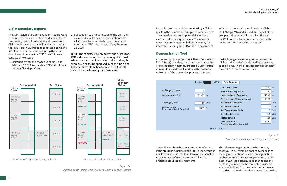## **Claim Boundary Reports**

The submission of a Claim Boundary Report (CBR) is the process by which a claimholder can elect to keep legacy claims from merging at conversion. Claim holders can use the online demonstration tool available in CLAIMaps to generate a complete list of their mining claims and group those they do not want to merge in a CBR. The CBR process consists of two steps:

1. Claimholders must, between January 9 and February 9, 2018, complete a CBR and submit it through CLAIMaps IV; and



NOTE: The ministry will only accept and process one CBR and confirmation form per mining claim holder. Where there are multiple mining claim holders, the submission has to be approved by all mining claim holders. The confirmation form must include all claim holders whose approval is required.

**Provincial Grid Cell Claims Legacy Claim** 12345699 Legacy Claim 12345698 Legacy Claim 12345668 Legacy Claim 12345669 Legacy Claim Cell Claim Cell Claim Cell Claim Cell Claim Cell Claim

Conversion without a Claim Boundary Report



Conversion with a Claim Boundary Report

*Figure 17. Example of conversion with/without a Claim Boundary Report*  It should also be noted that submitting a CBR can result in the creation of multiple boundary claims at conversion that could potentially increase assessment work requirements. The ministry encourages mining claim holders who may be interested in using the CBR option to experiment

## **demonstration Tool**

- with the demonstration tool that is available in CLAIMaps IV to understand the impact of the groupings they would like to select through the CBR process. For more information on the demonstration tool, see CLAIMaps IV.
- the tool can generate a map representing the mining claim holder's lands holdings converted to cell claims. The tool can generate a summary forecast of conversion statistics.

An online demonstration tool ("Demo Conversion" in CLAIMaps) can allow the user to generate a list of mining claim holdings, process a CBR to group mining claims if desired, and view the potential outcomes of the conversion process. If desired,



Thu Jul 13 2017

| $(100\%)$ | <b>Print Forecast</b>           |          |       |
|-----------|---------------------------------|----------|-------|
|           | <b>New Holder Area</b>          | 500.36   | ha    |
|           | <b>Encumbered Expansion</b>     | 0.00     | ha    |
|           | <b>Unencumbered Expansion</b>   | 245.38   | ha    |
|           | Area Increase (Unencumbered)    | 96.23    | $\%$  |
|           | # of Boundary Claims            | 0        | Cells |
|           | # of Boundary Cells             | 0        | Cells |
|           | # of Encumbered Cells           | $\Omega$ | Cells |
|           | # of Standard Cells             | 23       | Cells |
|           | Total # of Cells                | 23       | Cells |
|           | <b>Post-conversion</b>          | 9200     | \$    |
|           | <b>Assessment Work Required</b> |          |       |

*Figure 18.* 

*Example of conversion summary forecast report* 

The online tool can be run any number of times. If the grouping function in the CBR is used, various results can be assessed to determine the benefits or advantages of filing a CBR, as well as the preferred grouping arrangements.

The information generated by the tool may assist you in determining post-conversion land management options (such as amalgamation or abandonment). Please keep in mind that the data in CLAIMaps continues to change and the content generated by the tool only provides a snapshot in time. Firm business commitments should not be made based on demonstration data.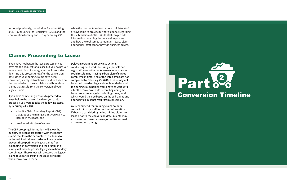<span id="page-12-0"></span>As noted previously, the window for submitting a CBR is January 9<sup>th</sup> to February 9<sup>th</sup>, 2018 and the confirmation form by end of day February 23rd.

While the tool contains instructions, ministry staff are available to provide further guidance regarding the submission of CBRs. While staff can provide information regarding the conversion process and how the tool serves to maintain legacy claim boundaries, staff cannot provide business advice.

## Claims Proceeding to lease

If you have not begun the lease process or you have made a request for a lease but you do not yet have a draft plan of survey, you should consider deferring this process until after the conversion date. Once your mining claims have been converted, survey instructions would be based on the boundaries of the cell claims and boundary claims that result from the conversion of your legacy claims.

If you have compelling reasons to proceed to lease before the conversion date, you could proceed if you were to take the following steps, by February 23, 2018:

- submit a Claim Boundary Report (CBR) that groups the mining claims you want to include in the lease, and
- provide a draft plan of survey

The CBR grouping information will allow the ministry to deal appropriately with the legacy claims that form the perimeter of the lands to be leased. A withdrawal order will be made to prevent those perimeter legacy claims from expanding on conversion and the draft plan of survey will provide precise legacy claim boundary coordinates. These steps will preserve the legacy claim boundaries around the lease perimeter when conversion occurs.

Delays in obtaining survey instructions, conducting field work, securing approvals and registrations or other unforeseen circumstances could result in not having a draft plan of survey completed in time. If all of the listed steps are not completed by February 23, 2018, a lease may not be issued based on legacy claim boundaries and the mining claim holder would have to wait until after the conversion date before beginning the lease process over again, including survey work, which would then be based on the cell claims and boundary claims that result from conversion.

We recommend that mining claim holders contact ministry staff for further information if they are considering taking mining claims to lease prior to the conversion date. Clients may also want to consult a surveyor to discuss cost estimates and timing.

# Part <sup>2</sup>

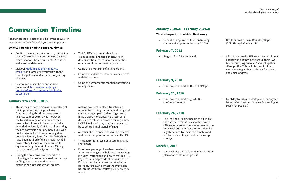# <span id="page-13-0"></span>**Conversion Timeline**

Following is the projected timeline for the conversion process and actions for which you need to prepare.

## **By now you have had the opportunity to:**

- Confirm the mapped location of your mining claims (the ministry is currently reconciling claim locations based on client GPS data as well as other data sets).
- Visit our [Modernizing the Mining Act](https://www.mndm.gov.on.ca/en/mines-and-minerals/mining-act/modernizing-mining-act) [website](https://www.mndm.gov.on.ca/en/mines-and-minerals/mining-act/modernizing-mining-act) and familiarize yourself with the recent legislative and proposed regulatory changes.
- Review and subscribe to our update bulletins at: [http://www.mndm.gov.](https://www.mndm.gov.on.ca/en/forms/mam-update-bulletins-subscription) [on.ca/en/forms/mam-update-bulletins](https://www.mndm.gov.on.ca/en/forms/mam-update-bulletins-subscription) [subscription](https://www.mndm.gov.on.ca/en/forms/mam-update-bulletins-subscription)
- Visit CLAIMaps to generate a list of claim holdings and use our conversion demonstration tool to view the potential outcomes of the conversion process.
- Complete any staking of mining claims.
- Complete and file assessment work reports and distributions.
- Complete any other transactions affecting a mining claim.

## **January 9 to April 9, 2018**

- This is the pre-conversion period: staking of mining claims is no longer allowed in Ontario; during this time, prospector's licences cannot be renewed; however, the transition regulation provides for a prospector's licence to be automatically extended to June 9, 2018 if it expires during the pre-conversion period. Individuals who hold a prospector's licence coming due between January 9 and April 10, 2018 should have been notified of this by mail. . A valid prospector's licence will be required to register mining claims in the new Mining Lands Administration System (MLAS).
- During the pre-conversion period, the following activities have ceased: submitting or filing assessment work reports, distributing assessment work credits,

making payment in place, transferring unpatented mining claims, abandoning and surrendering unpatented mining claims, filing a dispute or appealing a recorder's decision to refuse to record a mining claim. NOTE: Field work may continue but cannot be submitted until launch of MLAS

- All other client transactions will be deferred and processed prior to the launch of MLAS.
- The Electronic Assessment System (EAS) is shut down.
- Enrolment packages have been sent out to all active mining claim holders. The package includes instructions on how to set up a ONekey account and provide clients with their PIN number. If you haven't received your package, you must contact the Provincial Recording Office to request your package be resent.

## **January 9, 2018 – february 9, 2018**

## **This is the period in which clients may:**

• Submit an application to record mining claims staked prior to January 9, 2018.

## **february 7, 2018**

• Stage 1 of MLAS is launched.

- Opt to submit a Claim Boundary Report (CBR) through CLAIMaps IV
- Clients can use the PIN from their enrolment package and, if they have set up their ONekey account, log on to MLAS to set up their client profile. This includes confirming name, mailing address, address for service and email address

## **february 9, 2018**

• Final day to submit a CBR in CLAIMaps.

## **february 23, 2018**

• Final day to submit a signed CBR confirmation form.

• Final day to submit a draft plan of survey for lease (refer to section "Claims Proceeding to Lease" on page 24)

## **february 26, 2018**

• The Provincial Mining Recorder will make the final determination as to the location of legacy claims and delineate them on the provincial grid. Mining claims will then be legally defined by those coordinates and not by posts on the ground or township surveys.

## **March 2, 2018**

• Last business day to submit an exploration plan or an exploration permit.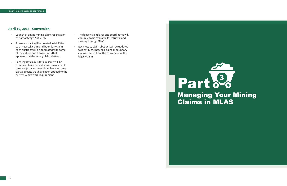## <span id="page-14-0"></span>**April 10, 2018 - Conversion**

- Launch of online mining claim registration as part of Stage 2 of MLAS.
- A new abstract will be created in MLAS for each new cell claim and boundary claim; each abstract will be populated with some of the entries and transactions that appeared on the legacy claim abstract
- Each legacy claim's total reserve will be combined to include all assessment credit reserves (total reserve, claim bank and any partial credits that have been applied to the current year's work requirement).
- The legacy claim layer and coordinates will continue to be available for retrieval and viewing through MLAS.
- Each legacy claim abstract will be updated to identify the new cell claim or boundary claims created from the conversion of the legacy claim.

# Part <sup>3</sup> **Claims in MLAS**

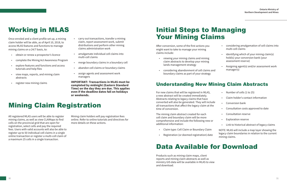## <span id="page-15-0"></span>**Working in MLAS**

Once enroled and a client profile set up, a mining claim holder will be able, as of April 10, 2018, to access MLAS features and functions to manage mining claims on a 24/7 basis, to:

- obtain or renew a prospector's licence
- complete the Mining Act Awareness Program
- explore features and functions and access tutorials and help files
- view maps, reports, and mining claim abstracts
- register new mining claims
- carry out transactions, transfer a mining claim, report assessment work, submit distributions and perform other mining claims administration work
- amalgamate individual cell claims into multi-cell claims
- merge boundary claims in a boundary cell
- abandon cell claims or boundary claims
- assign agents and assessment work managers

**iMPorTANT: Transactions in MLAs must be completed by midnight (eastern standard Time) on the day they are due. This applies even if the deadline dates fall on holidays or weekends.** 

## **Mining Claim Registration**

All registered MLAS users will be able to register mining claims, as well as view CLAIMaps to find cells on the provincial grid that are open for registration, select cells and pay the required fees. Users with valid accounts will also be able to register up to 50 individual cell claims in a single online transaction or register a multi-cell claim of a maximum 25 cells in a single transaction.

Mining claim holders will pay registration fees online. Refer to online tutorials and directives for more details on these actions.

## **Initial Steps to Managing Your Mining Claims**

After conversion, some of the first actions you might want to take to manage your mining claims include:

- viewing your mining claims and mining claim abstracts to develop your mining lands management strategy
- considering abandonment of cell claims and boundary claims as part of your strategy

## **Understanding New Mining Claim Abstracts**

- considering amalgamation of cell claims into multi-cell claims
- identifying which of your mining claim(s) hold(s) your conversion bank (your assessment reserve)
- Assigning agent(s) and/or assessment work manager(s)

For new claims that will be registered in MLAS, a new abstract will be created immediately. Abstracts relating to legacy claims that have converted will also be generated. They will inclue all transactions that affect the legacy claim at the time of conversion.

The mining claim abstract created for each cell claim and boundary claim will be more comprehensive and include the following new or additional information:

- Claim type: Cell Claim or Boundary Claim
- Registration (or deemed registration) date

## **Data Available for Downlo**

|         | Number of cells (1 to 25)                                                                                               |
|---------|-------------------------------------------------------------------------------------------------------------------------|
|         | Claim holder's contact information                                                                                      |
| de<br>e | Conversion bank                                                                                                         |
|         | Consultation costs approved to date                                                                                     |
|         | Consultation reserve                                                                                                    |
|         | <b>Exploration reserve</b>                                                                                              |
|         | Link to historical abstract of legacy claims                                                                            |
|         | NOTE: MLAS will include a map layer showing the<br>legacy claim boundaries in relation to the current<br>mining claims. |
|         | A/IA                                                                                                                    |

Products such as mining claim maps, client reports and mining claim abstracts as well as ministry GIS data will be available in MLAS to view and download.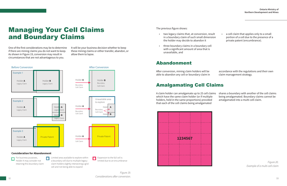## <span id="page-16-0"></span>**Managing Your Cell Claims** and Boundary Claims

One of the first considerations may be to determine if there are mining claims you do not want to keep. As shown in Figure 19, conversion may result in circumstances that are not advantageous to you.

It will be your business decision whether to keep these mining claims or either transfer, abandon, or allow them to lapse.



retaining this boundary claim claim holders slightly intersecting a grid cell and not being able to expand

The previous figure shows:

- two legacy claims that, at conversion, result in a boundary claim of such small dimension the holder may decide to abandon it • a cell claim that applies only to a small portion of a cell due to the presence of a private patent (encumbrance).
- three boundary claims in a boundary cell with a significant amount of area that is unavailable, and

## abandonment

After conversion, mining claim holders will be able to abandon any cell or boundary claim in

*Figure 19. Considerations after conversion.*  32 33

accordance with the regulations and their own claim management strategy.

## amalgamating Cell Claims

A claim holder can amalgamate up to 25 cell claims shares a boundary with another of the cell claims which have the same claim holder (or if multiple holders, held in the same proportions) provided that each of the cell claims being amalgamated being amalgamated. Boundary claims cannot be amalgamated into a multi-cell claim.



*Figure 20. Example of a multi-cell claim*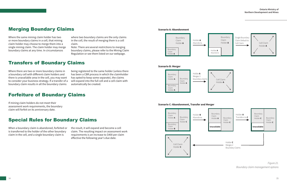## <span id="page-17-0"></span>merging Boundary Claims

Where the same mining claim holder has two or more boundary claims in a cell, that mining claim holder may choose to merge them into a single mining claim. The claim holder may merge boundary claims at any time. In circumstances

where two boundary claims are the only claims in the cell, the result of merging them is a cell claim.

Note: There are several restrictions to merging boundary claims, please refer to the Mining Claim Regulation or see them listed on our webpage.

## **Transfers of Boundary Claims**

Where there are two or more boundary claims in a boundary cell with different claim holders and there is unavailable area in the cell, you may want to consider your business strategy. If a transfer of a boundary claim results in all the boundary claims

being registered to the same holder (unless there has been a CBR process in which the claimholder has opted to keep some separate), the claims will expand into the full cell and a cell claim with automatically be created.

## Forfeiture of Boundary Claims

If mining claim holders do not meet their assessment work requirements, the boundary claim will forfeit on its anniversary date.

## Special Rules for Boundary Claims

When a boundary claim is abandoned, forfeited or is transferred to the holder of the other boundary claim in the cell, and a single boundary claim is

the result, it will expand and become a cell claim. The resulting impact on assessment work requirements is an increase to \$400 per claim effective the following year's due date.

#### **Scenario B: Merger**



**Scenario A: Abandonment**





*Figure 21. Boundary claim management options*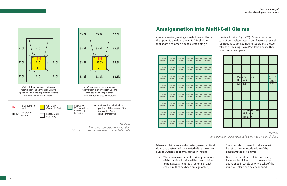<span id="page-18-0"></span>

## **Amalgamation into Multi-Cell Claims**

*Figure 22.* 

*Example of conversion bank transfer – mining claim holder transfer versus automated transfer* 

After conversion, mining claim holders will have the option to amalgamate up to 25 cell claims that share a common side to create a single

multi-cell claim (Figure 23). Boundary claims cannot be amalgamated. Note: There are several restrictions to amalgamating cell claims, please refer to the Mining Claim Regulation or see them listed on our webpage.

| Cell Claim | Cell Claim | Cell Claim | Cell Claim | Cell Claim | Cell Claim |
|------------|------------|------------|------------|------------|------------|
| Holder A   | Holder A   | Holder A   | Holder A   | Holder A   | Holder A   |
| Cell Claim | Cell Claim | Cell Claim | Cell Claim | Cell Claim | Cell Claim |
| Holder A   | Holder A   | Holder A   | Holder A   | Holder A   | Holder A   |
| Cell Claim | Cell Claim | Cell Claim | Cell Claim | Cell Claim | Cell Claim |
| Holder A   | Holder A   | Holder A   | Holder A   | Holder A   | Holder A   |
| Cell Claim | Cell Claim | Cell Claim | Cell Claim | Cell Claim | Cell Claim |
| Holder A   | Holder A   | Holder A   | Holder A   | Holder A   | Holder A   |
| Cell Claim | Cell Claim | Cell Claim | Cell Claim | Cell Claim | Cell Claim |
| Holder A   | Holder A   | Holder A   | Holder A   | Holder A   | Holder A   |
| Cell Claim | Cell Claim | Cell Claim | Cell Claim | Cell Claim | Cell Claim |
| Holder A   | Holder A   | Holder A   | Holder A   | Holder A   | Holder A   |
| Cell Claim | Cell Claim | Cell Claim | Cell Claim | Cell Claim | Cell Claim |
| Holder A   | Holder A   | Holder A   | Holder A   | Holder A   | Holder A   |
| Cell Claim | Cell Claim | Cell Claim | Cell Claim | Cell Claim | Cell Claim |
| Holder A   | Holder A   | Holder A   | Holder A   | Holder A   | Holder A   |

|  | Multi-Cell Claim<br>Holder A |                  | Multi-Cell<br>Claim<br>Holder A |
|--|------------------------------|------------------|---------------------------------|
|  | $(25$ cells)                 |                  | $(5$ cells)                     |
|  |                              |                  |                                 |
|  |                              |                  |                                 |
|  | Holder A<br>$(18$ cells)     | Multi-Cell Claim |                                 |
|  |                              |                  |                                 |

*Figure 23. Amalgamation of individual cell claims into a multi-cell claim.* 

number. Outcomes of amalgamation include:

When cell claims are amalgamated, a new multi-cell claim and abstract will be created with a new claim • The annual assessment work requirements of the multi-cell claim will be the combined annual assessment requirements of each cell claim that has been amalgamated; • The due date of the multi-cell claim will be set to the earliest due date of the amalgamated cell claims; • Once a new multi-cell claim is created, it cannot be divided. It can however be abandoned in whole or whole cells of the multi-cell claim can be abandoned.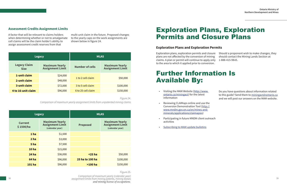

## <span id="page-19-0"></span>**Assessment Credits Assignment Limits**

A factor that will be relevant to claims holders when determining whether or not to amalgamate cell claims will be the claim holder's ability to assign assessment credit reserves from that

multi-unit claim in the future. Proposed changes to the yearly caps on the work assignments are shown below in figure 24.

|                                    | <b>Legacy</b>                              | <b>MLAS</b>            |                                            |  |  |
|------------------------------------|--------------------------------------------|------------------------|--------------------------------------------|--|--|
| <b>Legacy Claim</b><br><b>Size</b> | <b>Maximum Yearly<br/>Assignment Limit</b> | <b>Number of cells</b> | <b>Maximum Yearly<br/>Assignment Limit</b> |  |  |
| 1-unit claim                       | \$24,000                                   | 1 to 2 cell claim      | \$50,000                                   |  |  |
| 2-unit claim                       | \$48,000                                   |                        |                                            |  |  |
| 3-unit claim                       | \$72,000                                   | 3 to 5 cell claim      | \$100,000                                  |  |  |
| 4 to 16-unit claim                 | \$96,000                                   | 6 to 25 cell claim     | \$150,000                                  |  |  |

## **Exploration Plans, Exploration** Permits and Closure Plans

*Figure 24.* 

*Comparison of maximum yearly assignment limits from unpatented mining claims* 

|                             | <b>Legacy</b>                                                       | <b>MLAS</b>     |                                                                     |  |  |
|-----------------------------|---------------------------------------------------------------------|-----------------|---------------------------------------------------------------------|--|--|
| <b>Current</b><br>\$1500/ha | <b>Maximum Yearly</b><br><b>Assignment Limit</b><br>(calendar year) | <b>Proposed</b> | <b>Maximum Yearly</b><br><b>Assignment Limit</b><br>(calendar year) |  |  |
| 1 <sub>ha</sub>             | \$1,500                                                             |                 |                                                                     |  |  |
| 2 <sub>ha</sub>             | \$3,000                                                             |                 |                                                                     |  |  |
| 5 <sub>ha</sub>             | \$7,500                                                             |                 |                                                                     |  |  |
| <b>10 ha</b>                | \$15,000                                                            |                 |                                                                     |  |  |
| 24 <sub>ha</sub>            | \$36,000                                                            | $25$ ha         | \$50,000                                                            |  |  |
| <b>64 ha</b>                | \$96,000                                                            | 25 ha to 100 ha | \$100,000                                                           |  |  |
| 101 ha                      | \$96,000                                                            | $>100$ ha       | \$150,000                                                           |  |  |

#### *Figure 25.*

*Comparison of maximum yearly (calendar year) assignment limits from mining patents, mining leases* 38 39 *and mining license of occupations.* 

## **exploration Plans and exploration Permits**

Exploration plans, exploration permits and closure Should a proponent wish to make changes, they plans are not affected by the conversion of mining claims. A plan or permit will continue to apply only to the area to which it applied prior to conversion. should contact the Mining Lands Section at 1-888-415-9845.

## Further information is available By:

- Visiting the MAM Website [\(http://www.](https://www.ontario.ca/miningact) [ontario.ca/miningact\)](https://www.ontario.ca/miningact) for the latest information
- Reviewing CLAIMaps online and use the Conversion Demonstration Tool ([http://](http://www.mndm.gov.on.ca/en/mines-and-minerals/applications/claimapsiv) [www.mndm.gov.on.ca/en/mines-and](http://www.mndm.gov.on.ca/en/mines-and-minerals/applications/claimapsiv)[minerals/applications/claimapsiv](http://www.mndm.gov.on.ca/en/mines-and-minerals/applications/claimapsiv))
- Participating in future MNDM client outreach activities
- [Subscribing to MAM update bulletins](https://www.mndm.gov.on.ca/en/mines-and-minerals/mining-act/modernizing-mining-act#simple-table-of-contents-16)

Do you have questions about information related to this guide? Send them to miningact@ontario.ca and we will post our answers on the MAM website.